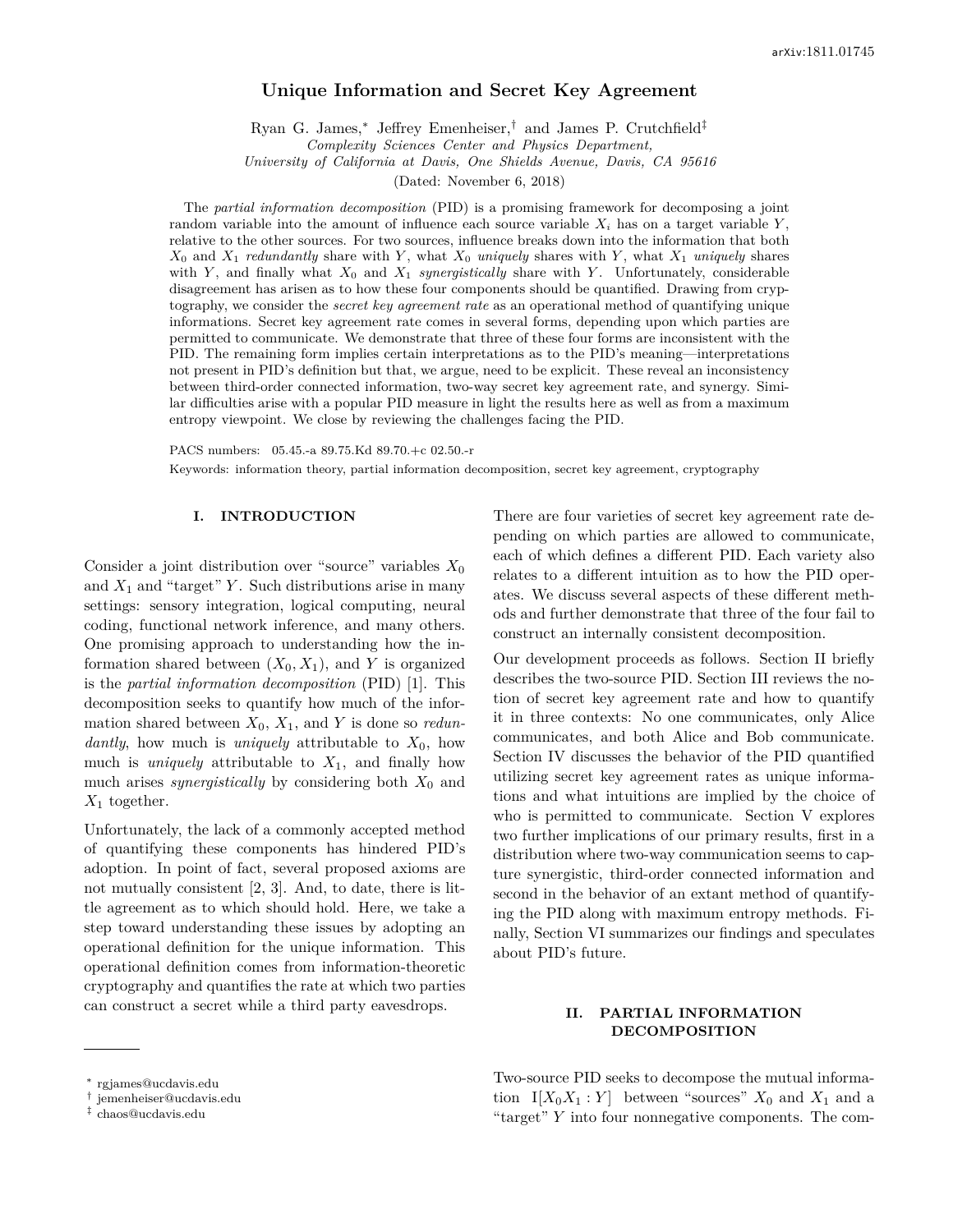# **Unique Information and Secret Key Agreement**

Ryan G. James,<sup>∗</sup> Jeffrey Emenheiser,† and James P. Crutchfield‡ *Complexity Sciences Center and Physics Department,*

*University of California at Davis, One Shields Avenue, Davis, CA 95616*

(Dated: November 6, 2018)

The *partial information decomposition* (PID) is a promising framework for decomposing a joint random variable into the amount of influence each source variable  $X_i$  has on a target variable  $Y$ , relative to the other sources. For two sources, influence breaks down into the information that both *X*<sup>0</sup> and *X*<sup>1</sup> *redundantly* share with *Y* , what *X*<sup>0</sup> *uniquely* shares with *Y* , what *X*<sup>1</sup> *uniquely* shares with *Y* , and finally what *X*<sup>0</sup> and *X*<sup>1</sup> *synergistically* share with *Y* . Unfortunately, considerable disagreement has arisen as to how these four components should be quantified. Drawing from cryptography, we consider the *secret key agreement rate* as an operational method of quantifying unique informations. Secret key agreement rate comes in several forms, depending upon which parties are permitted to communicate. We demonstrate that three of these four forms are inconsistent with the PID. The remaining form implies certain interpretations as to the PID's meaning—interpretations not present in PID's definition but that, we argue, need to be explicit. These reveal an inconsistency between third-order connected information, two-way secret key agreement rate, and synergy. Similar difficulties arise with a popular PID measure in light the results here as well as from a maximum entropy viewpoint. We close by reviewing the challenges facing the PID.

PACS numbers: 05.45.-a 89.75.Kd 89.70.+c 02.50.-r

Keywords: information theory, partial information decomposition, secret key agreement, cryptography

#### **I. INTRODUCTION**

Consider a joint distribution over "source" variables *X*<sup>0</sup> and  $X_1$  and "target" *Y*. Such distributions arise in many settings: sensory integration, logical computing, neural coding, functional network inference, and many others. One promising approach to understanding how the information shared between  $(X_0, X_1)$ , and *Y* is organized is the *partial information decomposition* (PID) [1]. This decomposition seeks to quantify how much of the information shared between  $X_0$ ,  $X_1$ , and *Y* is done so *redundantly*, how much is *uniquely* attributable to *X*0, how much is *uniquely* attributable to  $X_1$ , and finally how much arises *synergistically* by considering both  $X_0$  and  $X_1$  together.

Unfortunately, the lack of a commonly accepted method of quantifying these components has hindered PID's adoption. In point of fact, several proposed axioms are not mutually consistent [2, 3]. And, to date, there is little agreement as to which should hold. Here, we take a step toward understanding these issues by adopting an operational definition for the unique information. This operational definition comes from information-theoretic cryptography and quantifies the rate at which two parties can construct a secret while a third party eavesdrops.

There are four varieties of secret key agreement rate depending on which parties are allowed to communicate, each of which defines a different PID. Each variety also relates to a different intuition as to how the PID operates. We discuss several aspects of these different methods and further demonstrate that three of the four fail to construct an internally consistent decomposition.

Our development proceeds as follows. Section II briefly describes the two-source PID. Section III reviews the notion of secret key agreement rate and how to quantify it in three contexts: No one communicates, only Alice communicates, and both Alice and Bob communicate. Section IV discusses the behavior of the PID quantified utilizing secret key agreement rates as unique informations and what intuitions are implied by the choice of who is permitted to communicate. Section V explores two further implications of our primary results, first in a distribution where two-way communication seems to capture synergistic, third-order connected information and second in the behavior of an extant method of quantifying the PID along with maximum entropy methods. Finally, Section VI summarizes our findings and speculates about PID's future.

## **II. PARTIAL INFORMATION DECOMPOSITION**

<sup>∗</sup> rgjames@ucdavis.edu

Two-source PID seeks to decompose the mutual information  $I[X_0X_1:Y]$  between "sources"  $X_0$  and  $X_1$  and a "target" *Y* into four nonnegative components. The com-

<sup>†</sup> jemenheiser@ucdavis.edu

<sup>‡</sup> chaos@ucdavis.edu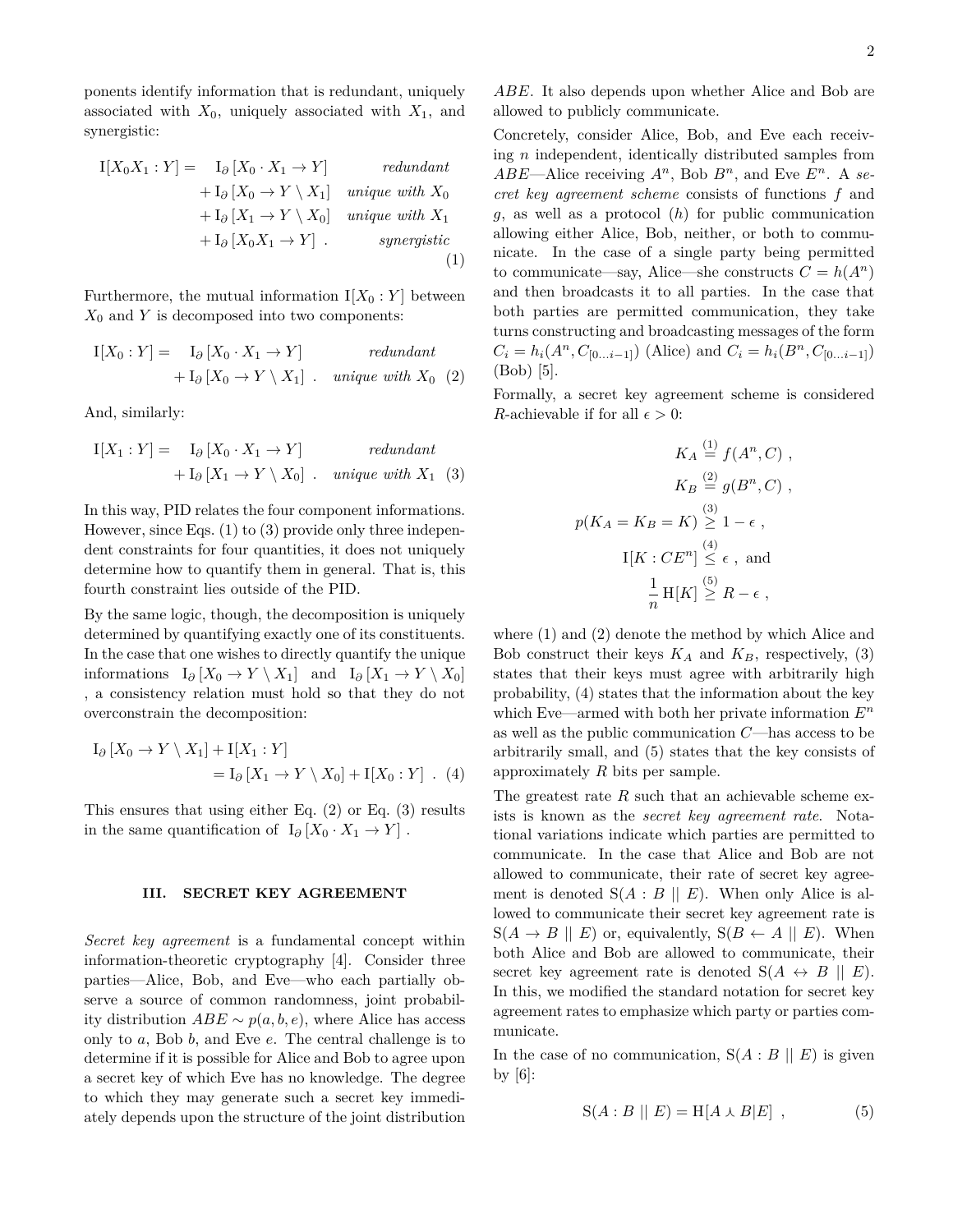ponents identify information that is redundant, uniquely associated with  $X_0$ , uniquely associated with  $X_1$ , and synergistic:

$$
I[X_0X_1:Y] = I_{\partial}[X_0 \cdot X_1 \rightarrow Y] \t\t redundant + I_{\partial}[X_0 \rightarrow Y \setminus X_1] \t\t unique with X_0 + I_{\partial}[X_1 \rightarrow Y \setminus X_0] \t\t unique with X_1 + I_{\partial}[X_0X_1 \rightarrow Y] \t\t\t-synergistic
$$
\n(1)

Furthermore, the mutual information  $I[X_0:Y]$  between  $X_0$  and  $Y$  is decomposed into two components:

$$
I[X_0:Y] = I_{\partial} [X_0 \cdot X_1 \to Y]
$$
  
+ 
$$
I_{\partial} [X_0 \to Y \setminus X_1] \text{ . unique with } X_0 \text{ (2)}
$$

And, similarly:

$$
I[X_1:Y] = I_{\partial} [X_0 \cdot X_1 \to Y]
$$
  
+ 
$$
I_{\partial} [X_1 \to Y \setminus X_0]
$$
. unique with  $X_1$  (3)

In this way, PID relates the four component informations. However, since Eqs. (1) to (3) provide only three independent constraints for four quantities, it does not uniquely determine how to quantify them in general. That is, this fourth constraint lies outside of the PID.

By the same logic, though, the decomposition is uniquely determined by quantifying exactly one of its constituents. In the case that one wishes to directly quantify the unique informations  $I_{\partial}$  [*X*<sub>0</sub> → *Y* \ *X*<sub>1</sub>] and  $I_{\partial}$  [*X*<sub>1</sub> → *Y* \ *X*<sub>0</sub>] , a consistency relation must hold so that they do not overconstrain the decomposition:

$$
I_{\partial} [X_0 \to Y \setminus X_1] + I[X_1 : Y]
$$
  
= 
$$
I_{\partial} [X_1 \to Y \setminus X_0] + I[X_0 : Y] . (4)
$$

This ensures that using either Eq. (2) or Eq. (3) results in the same quantification of  $I_{\partial} [X_0 \cdot X_1 \to Y]$ .

### **III. SECRET KEY AGREEMENT**

*Secret key agreement* is a fundamental concept within information-theoretic cryptography [4]. Consider three parties—Alice, Bob, and Eve—who each partially observe a source of common randomness, joint probability distribution  $ABE \sim p(a, b, e)$ , where Alice has access only to *a*, Bob *b*, and Eve *e*. The central challenge is to determine if it is possible for Alice and Bob to agree upon a secret key of which Eve has no knowledge. The degree to which they may generate such a secret key immediately depends upon the structure of the joint distribution

*ABE*. It also depends upon whether Alice and Bob are allowed to publicly communicate.

Concretely, consider Alice, Bob, and Eve each receiving *n* independent, identically distributed samples from  $ABE$ —Alice receiving  $A^n$ , Bob  $B^n$ , and Eve  $E^n$ . A *secret key agreement scheme* consists of functions *f* and *g*, as well as a protocol (*h*) for public communication allowing either Alice, Bob, neither, or both to communicate. In the case of a single party being permitted to communicate—say, Alice—she constructs  $C = h(A^n)$ and then broadcasts it to all parties. In the case that both parties are permitted communication, they take turns constructing and broadcasting messages of the form  $C_i = h_i(A^n, C_{[0...i-1]})$  (Alice) and  $C_i = h_i(B^n, C_{[0...i-1]})$ (Bob) [5].

Formally, a secret key agreement scheme is considered *R*-achievable if for all  $\epsilon > 0$ :

$$
K_A \stackrel{(1)}{=} f(A^n, C) ,
$$
  
\n
$$
K_B \stackrel{(2)}{=} g(B^n, C) ,
$$
  
\n
$$
p(K_A = K_B = K) \stackrel{(3)}{\geq} 1 - \epsilon ,
$$
  
\n
$$
I[K : CE^n] \stackrel{(4)}{\leq} \epsilon , \text{ and}
$$
  
\n
$$
\frac{1}{n} H[K] \stackrel{(5)}{\geq} R - \epsilon ,
$$

where (1) and (2) denote the method by which Alice and Bob construct their keys  $K_A$  and  $K_B$ , respectively, (3) states that their keys must agree with arbitrarily high probability, (4) states that the information about the key which Eve—armed with both her private information *E<sup>n</sup>* as well as the public communication *C*—has access to be arbitrarily small, and (5) states that the key consists of approximately *R* bits per sample.

The greatest rate *R* such that an achievable scheme exists is known as the *secret key agreement rate*. Notational variations indicate which parties are permitted to communicate. In the case that Alice and Bob are not allowed to communicate, their rate of secret key agreement is denoted  $S(A : B \parallel E)$ . When only Alice is allowed to communicate their secret key agreement rate is  $S(A \rightarrow B \parallel E)$  or, equivalently,  $S(B \leftarrow A \parallel E)$ . When both Alice and Bob are allowed to communicate, their secret key agreement rate is denoted  $S(A \leftrightarrow B \parallel E)$ . In this, we modified the standard notation for secret key agreement rates to emphasize which party or parties communicate.

In the case of no communication,  $S(A : B \parallel E)$  is given by  $[6]$ :

$$
S(A:B \parallel E) = H[A \wedge B|E], \qquad (5)
$$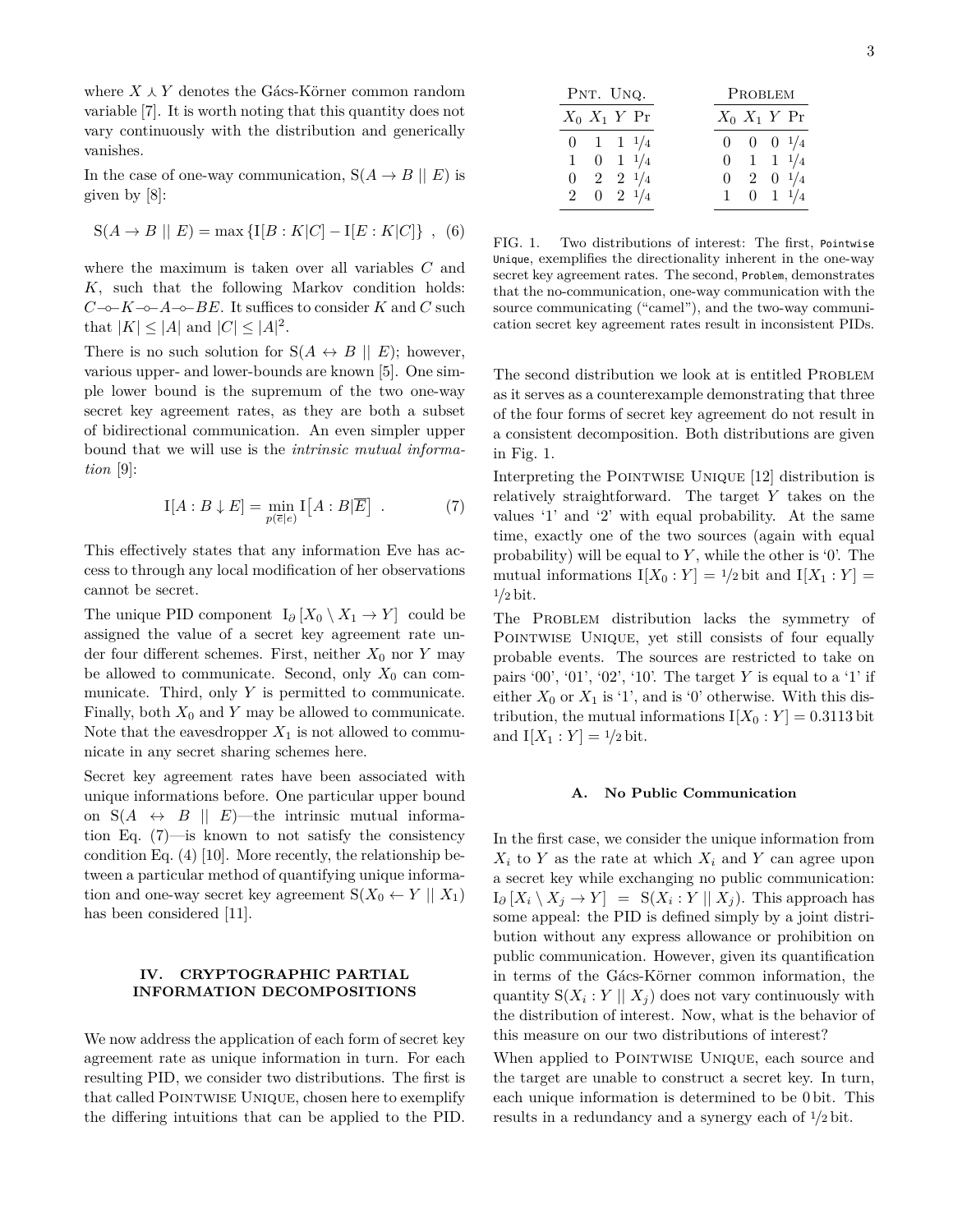where  $X \wedge Y$  denotes the Gács-Körner common random variable [7]. It is worth noting that this quantity does not vary continuously with the distribution and generically vanishes.

In the case of one-way communication,  $S(A \rightarrow B \mid E)$  is given by [8]:

$$
S(A \to B \parallel E) = \max \{ I[B : K|C] - I[E : K|C] \}, (6)
$$

where the maximum is taken over all variables *C* and *K*, such that the following Markov condition holds: *C*−◦−*K*−◦−*A*−◦−*BE*. It suffices to consider *K* and *C* such that  $|K| \leq |A|$  and  $|C| \leq |A|^2$ .

There is no such solution for  $S(A \leftrightarrow B \parallel E)$ ; however, various upper- and lower-bounds are known [5]. One simple lower bound is the supremum of the two one-way secret key agreement rates, as they are both a subset of bidirectional communication. An even simpler upper bound that we will use is the *intrinsic mutual information* [9]:

$$
I[A:B \downarrow E] = \min_{p(\overline{e}|e)} I[A:B|\overline{E}] . \tag{7}
$$

This effectively states that any information Eve has access to through any local modification of her observations cannot be secret.

The unique PID component  $I_{\partial}$  [ $X_0 \setminus X_1 \to Y$ ] could be assigned the value of a secret key agreement rate under four different schemes. First, neither  $X_0$  nor  $Y$  may be allowed to communicate. Second, only  $X_0$  can communicate. Third, only *Y* is permitted to communicate. Finally, both  $X_0$  and  $Y$  may be allowed to communicate. Note that the eavesdropper  $X_1$  is not allowed to communicate in any secret sharing schemes here. where  $X \perp Y$  denotes the different contained ratios ( $\frac{1}{2}Rx + X = \frac{1}{2}Rx + X = \frac{1}{2}Rx + X = \frac{1}{2}Rx + X = \frac{1}{2}Rx + X = \frac{1}{2}Rx + X = \frac{1}{2}Rx + X = \frac{1}{2}Rx + X = \frac{1}{2}Rx + X = \frac{1}{2}Rx + X = \frac{1}{2}Rx + X = \frac{1}{2}Rx + X = \frac{1}{2}Rx + X = \frac{1}{2}Rx +$ 

Secret key agreement rates have been associated with unique informations before. One particular upper bound on  $S(A \leftrightarrow B \parallel E)$ —the intrinsic mutual information Eq. (7)—is known to not satisfy the consistency condition Eq. (4) [10]. More recently, the relationship between a particular method of quantifying unique information and one-way secret key agreement  $S(X_0 \leftarrow Y \mid X_1)$ has been considered [11].

# **IV. CRYPTOGRAPHIC PARTIAL INFORMATION DECOMPOSITIONS**

We now address the application of each form of secret key agreement rate as unique information in turn. For each resulting PID, we consider two distributions. The first is that called POINTWISE UNIQUE, chosen here to exemplify

| PNT. UNQ.            | PROBLEM |                      |  |
|----------------------|---------|----------------------|--|
| $X_0$ $X_1$ $Y$ Pr   |         | $X_0$ $X_1$ $Y$ Pr   |  |
| $0 \t1 \t1 \t1/4$    |         | $0 \t 0 \t 0 \t 1/4$ |  |
| $1 \t 0 \t 1 \t 1/4$ |         | $0 \t1 \t1 \t1/4$    |  |
| $0 \t2 \t2 \t1/4$    |         | $0 \t2 \t0 \t1/4$    |  |
| $2 \t 0 \t 2 \t 1/4$ |         | $1 \t 0 \t 1 \t 1/4$ |  |

FIG. 1. Two distributions of interest: The first, Pointwise Unique, exemplifies the directionality inherent in the one-way secret key agreement rates. The second, Problem, demonstrates that the no-communication, one-way communication with the source communicating ("camel"), and the two-way communication secret key agreement rates result in inconsistent PIDs.

The second distribution we look at is entitled PROBLEM as it serves as a counterexample demonstrating that three of the four forms of secret key agreement do not result in a consistent decomposition. Both distributions are given in Fig. 1.

Interpreting the POINTWISE UNIQUE [12] distribution is relatively straightforward. The target *Y* takes on the values '1' and '2' with equal probability. At the same time, exactly one of the two sources (again with equal probability) will be equal to *Y* , while the other is '0'. The mutual informations  $I[X_0 : Y] = \frac{1}{2}$  bit and  $I[X_1 : Y] =$ <sup>1</sup>*/*<sup>2</sup> bit.

The PROBLEM distribution lacks the symmetry of Pointwise Unique, yet still consists of four equally probable events. The sources are restricted to take on pairs '00', '01', '02', '10'. The target *Y* is equal to a '1' if either  $X_0$  or  $X_1$  is '1', and is '0' otherwise. With this distribution, the mutual informations  $I[X_0:Y] = 0.3113$  bit and  $I[X_1 : Y] = \frac{1}{2} \text{bit}$ .

## **A. No Public Communication**

In the first case, we consider the unique information from  $X_i$  to *Y* as the rate at which  $X_i$  and *Y* can agree upon a secret key while exchanging no public communication:  $I_{\partial}[X_i \setminus X_j \to Y] = S(X_i : Y \mid X_j)$ . This approach has some appeal: the PID is defined simply by a joint distribution without any express allowance or prohibition on public communication. However, given its quantification in terms of the Gács-Körner common information, the quantity  $S(X_i : Y \mid X_j)$  does not vary continuously with the distribution of interest. Now, what is the behavior of this measure on our two distributions of interest?

When applied to POINTWISE UNIQUE, each source and the target are unable to construct a secret key. In turn, each unique information is determined to be 0 bit. This results in a redundancy and a synergy each of <sup>1</sup>*/*<sup>2</sup> bit.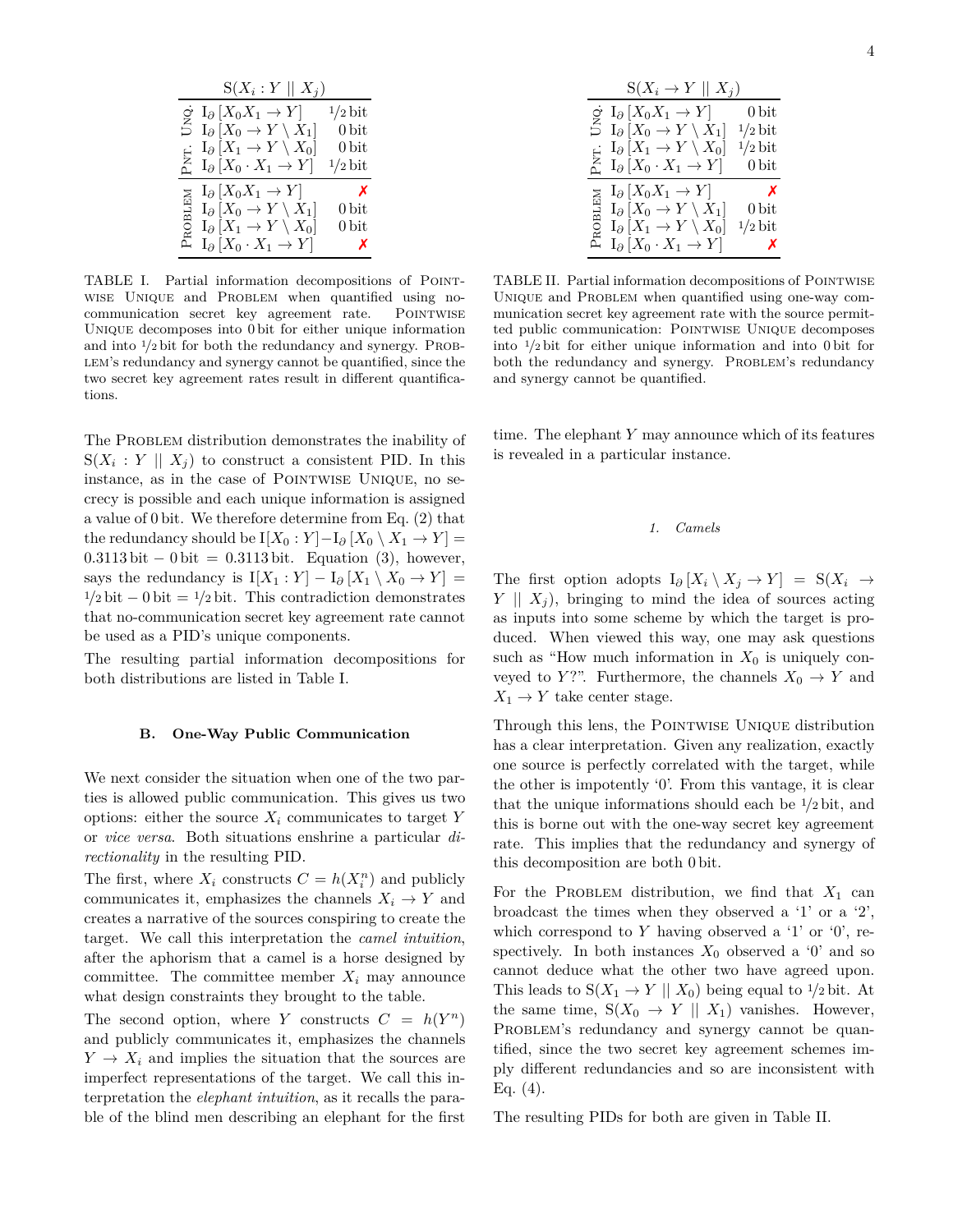|       | $S(X_i:Y \mid X_j)$                                                                                                                                      |                           |
|-------|----------------------------------------------------------------------------------------------------------------------------------------------------------|---------------------------|
|       | $\circ I_{\partial}[X_0X_1 \to Y]$                                                                                                                       | $1/2$ bit                 |
| 3     | $I_{\partial}$ $[X_0 \to Y \setminus X_1]$                                                                                                               | $0\,\mathrm{bit}$         |
|       |                                                                                                                                                          | $0\,\mathrm{bit}$         |
|       | $\underset{\Delta}{\text{E}} \left[ X_1 \rightarrow Y \setminus X_0 \right]$<br>$\underset{\Delta}{\text{E}} \left[ X_0 \cdot X_1 \rightarrow Y \right]$ | $1/2$ bit                 |
| Σ     | $I_{\partial}$ [ $X_0X_1 \rightarrow Y$ ]                                                                                                                | $\boldsymbol{\mathsf{x}}$ |
| ROBLE | $I_{\partial}$ $[X_0 \to Y \setminus X_1]$                                                                                                               | $0\,\mathrm{bit}$         |
|       | $I_{\partial}[X_1 \to Y \setminus X_0]$                                                                                                                  | $0\,\mathrm{bit}$         |
| д     | $I_{\partial}[X_0 \cdot X_1 \to Y]$                                                                                                                      | Х                         |

TABLE I. Partial information decompositions of Pointwise Unique and Problem when quantified using nocommunication secret key agreement rate. POINTWISE Unique decomposes into 0 bit for either unique information and into <sup>1</sup>/<sub>2</sub> bit for both the redundancy and synergy. PROB-LEM's redundancy and synergy cannot be quantified, since the two secret key agreement rates result in different quantifications.

The PROBLEM distribution demonstrates the inability of  $S(X_i: Y \parallel X_j)$  to construct a consistent PID. In this instance, as in the case of POINTWISE UNIQUE, no secrecy is possible and each unique information is assigned a value of 0 bit. We therefore determine from Eq. (2) that the redundancy should be  $I[X_0 : Y] - I_{\partial}[X_0 \setminus X_1 \to Y] =$ 0*.*3113 bit − 0 bit = 0*.*3113 bit. Equation (3), however, says the redundancy is  $I[X_1 : Y] - I_{\partial}[X_1 \setminus X_0 \to Y] =$  $1/2$  bit  $-0$  bit =  $1/2$  bit. This contradiction demonstrates that no-communication secret key agreement rate cannot be used as a PID's unique components.

The resulting partial information decompositions for both distributions are listed in Table I.

#### **B. One-Way Public Communication**

We next consider the situation when one of the two parties is allowed public communication. This gives us two options: either the source  $X_i$  communicates to target  $Y$ or *vice versa*. Both situations enshrine a particular *directionality* in the resulting PID.

The first, where  $X_i$  constructs  $C = h(X_i^n)$  and publicly communicates it, emphasizes the channels  $X_i \to Y$  and creates a narrative of the sources conspiring to create the target. We call this interpretation the *camel intuition*, after the aphorism that a camel is a horse designed by committee. The committee member  $X_i$  may announce what design constraints they brought to the table.

The second option, where *Y* constructs  $C = h(Y^n)$ and publicly communicates it, emphasizes the channels  $Y \rightarrow X_i$  and implies the situation that the sources are imperfect representations of the target. We call this interpretation the *elephant intuition*, as it recalls the parable of the blind men describing an elephant for the first

|        | $S(X_i \rightarrow Y \mid X_i)$            |                           |
|--------|--------------------------------------------|---------------------------|
|        | $\circ I_{\partial}[X_0X_1 \to Y]$         | $0\,\mathrm{bit}$         |
| 5      | $I_{\partial}$ $[X_0 \to Y \setminus X_1]$ | $\frac{1}{2}$ bit         |
| Ы.     | $I_{\partial}[X_1 \to Y \setminus X_0]$    | $1/2$ bit                 |
| Р      | $I_{\partial}[X_0 \cdot X_1 \to Y]$        | $0\,\mathrm{bit}$         |
|        | $I_{\partial}$ $[X_0X_1 \rightarrow Y]$    | X                         |
|        | $I_{\partial}$ $[X_0 \to Y \setminus X_1]$ | $0\,\mathrm{bit}$         |
| ROBLEM | $I_{\partial}[X_1 \to Y \setminus X_0]$    | $1/2$ bit                 |
| д,     | $I_{\partial}[X_0 \cdot X_1 \to Y]$        | $\boldsymbol{\mathsf{x}}$ |

TABLE II. Partial information decompositions of POINTWISE UNIQUE and PROBLEM when quantified using one-way communication secret key agreement rate with the source permitted public communication: Pointwise Unique decomposes into <sup>1</sup>*/*<sup>2</sup> bit for either unique information and into 0 bit for both the redundancy and synergy. PROBLEM's redundancy and synergy cannot be quantified.

time. The elephant *Y* may announce which of its features is revealed in a particular instance.

## *1. Camels*

The first option adopts  $I_{\partial}$  [ $X_i \setminus X_j \to Y$ ] = S( $X_i \to$ *Y*  $\parallel$  *X<sub>i</sub>*), bringing to mind the idea of sources acting as inputs into some scheme by which the target is produced. When viewed this way, one may ask questions such as "How much information in  $X_0$  is uniquely conveyed to *Y*?". Furthermore, the channels  $X_0 \to Y$  and  $X_1 \rightarrow Y$  take center stage.

Through this lens, the POINTWISE UNIQUE distribution has a clear interpretation. Given any realization, exactly one source is perfectly correlated with the target, while the other is impotently '0'. From this vantage, it is clear that the unique informations should each be <sup>1</sup>*/*<sup>2</sup> bit, and this is borne out with the one-way secret key agreement rate. This implies that the redundancy and synergy of this decomposition are both 0 bit.

For the PROBLEM distribution, we find that  $X_1$  can broadcast the times when they observed a '1' or a '2', which correspond to *Y* having observed a '1' or '0', respectively. In both instances  $X_0$  observed a '0' and so cannot deduce what the other two have agreed upon. This leads to  $S(X_1 \to Y \mid X_0)$  being equal to  $1/2$  bit. At the same time,  $S(X_0 \rightarrow Y \parallel X_1)$  vanishes. However, PROBLEM's redundancy and synergy cannot be quantified, since the two secret key agreement schemes imply different redundancies and so are inconsistent with Eq.  $(4)$ .

The resulting PIDs for both are given in Table II.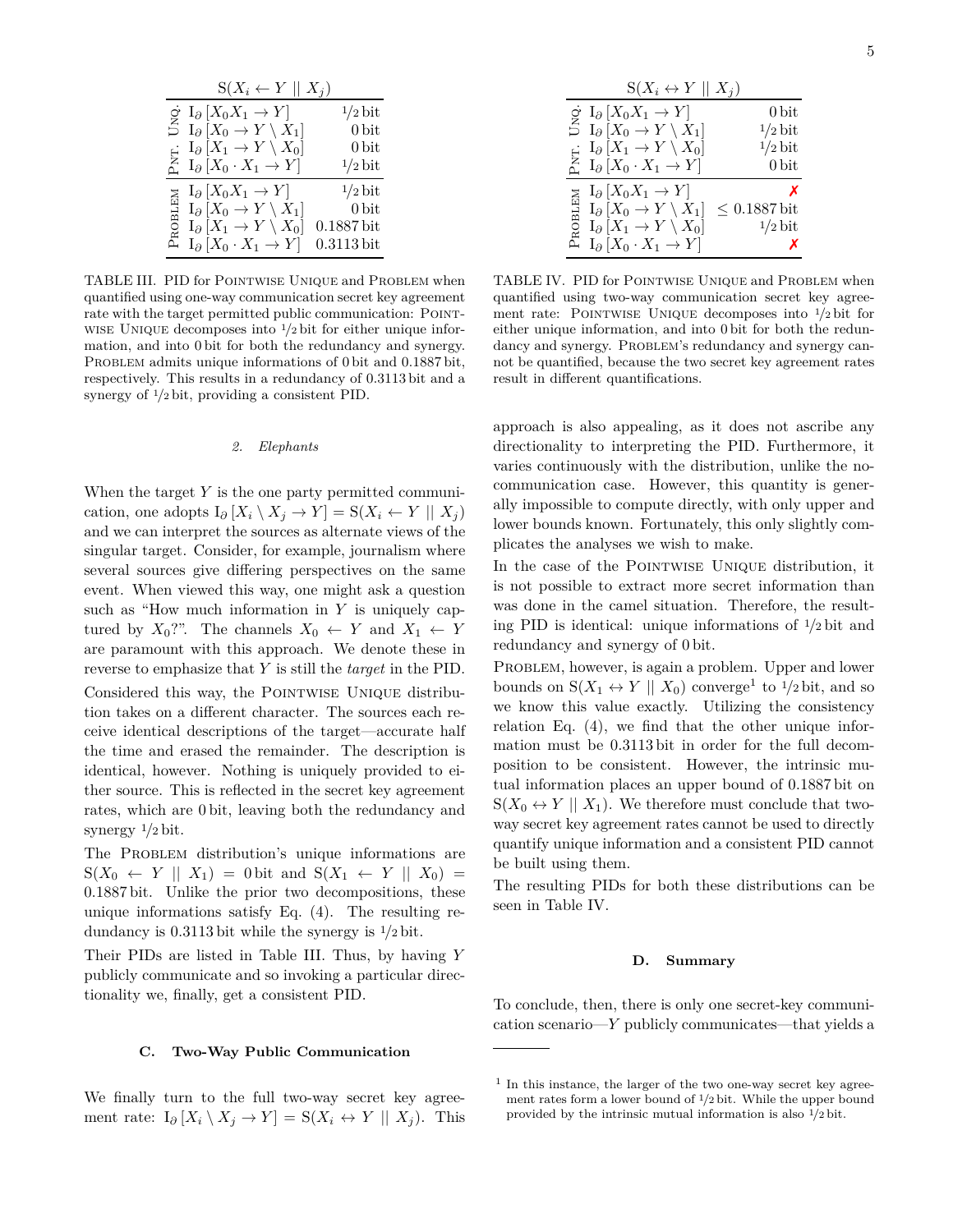| $S(X_i \leftarrow Y \mid X_j)$                                                                                                                           |                   |
|----------------------------------------------------------------------------------------------------------------------------------------------------------|-------------------|
| $\circ I_{\partial}[X_0X_1 \to Y]$                                                                                                                       | $1/2$ bit         |
| $\stackrel{Z}{\supset} I_{\partial} [X_0 \to Y \setminus X_1]$                                                                                           | 0 <sub>bit</sub>  |
|                                                                                                                                                          | $0\,\mathrm{bit}$ |
| $\underset{\Delta}{\text{E}} \left[ X_1 \rightarrow Y \setminus X_0 \right]$<br>$\underset{\Delta}{\text{E}} \left[ X_0 \cdot X_1 \rightarrow Y \right]$ | $1/2$ bit         |
| $I_{\partial}$ $[X_0 X_1 \rightarrow Y]$<br>Σ                                                                                                            | $1/2$ bit         |
| $I_{\partial}$ $[X_0 \to Y \setminus X_1]$                                                                                                               | 0 bit             |
| ROBLE<br>$I_{\partial}[X_1 \to Y \setminus X_0]$                                                                                                         | $0.1887$ bit      |
| $I_{\partial}[X_0 \cdot X_1 \to Y]$<br>д                                                                                                                 | $0.3113$ bit      |

TABLE III. PID for Pointwise Unique and Problem when quantified using one-way communication secret key agreement rate with the target permitted public communication: POINTwise Unique decomposes into <sup>1</sup>*/*<sup>2</sup> bit for either unique information, and into 0 bit for both the redundancy and synergy. PROBLEM admits unique informations of 0 bit and 0.1887 bit, respectively. This results in a redundancy of 0*.*3113 bit and a synergy of <sup>1</sup>*/*<sup>2</sup> bit, providing a consistent PID.

#### *2. Elephants*

When the target *Y* is the one party permitted communication, one adopts  $I_{\partial}$   $[X_i \setminus X_j \to Y] = S(X_i \leftarrow Y || X_j)$ and we can interpret the sources as alternate views of the singular target. Consider, for example, journalism where several sources give differing perspectives on the same event. When viewed this way, one might ask a question such as "How much information in *Y* is uniquely captured by  $X_0$ ?". The channels  $X_0 \leftarrow Y$  and  $X_1 \leftarrow Y$ are paramount with this approach. We denote these in reverse to emphasize that *Y* is still the *target* in the PID. Considered this way, the POINTWISE UNIQUE distribution takes on a different character. The sources each receive identical descriptions of the target—accurate half the time and erased the remainder. The description is identical, however. Nothing is uniquely provided to either source. This is reflected in the secret key agreement rates, which are 0 bit, leaving both the redundancy and synergy <sup>1</sup>*/*<sup>2</sup> bit.

The PROBLEM distribution's unique informations are  $S(X_0 \leftarrow Y \parallel X_1) = 0$  bit and  $S(X_1 \leftarrow Y \parallel X_0) =$ 0*.*1887 bit. Unlike the prior two decompositions, these unique informations satisfy Eq. (4). The resulting redundancy is 0*.*3113 bit while the synergy is <sup>1</sup>*/*<sup>2</sup> bit.

Their PIDs are listed in Table III. Thus, by having *Y* publicly communicate and so invoking a particular directionality we, finally, get a consistent PID.

### **C. Two-Way Public Communication**

We finally turn to the full two-way secret key agreement rate:  $I_{\partial} [X_i \setminus X_j \to Y] = S(X_i \leftrightarrow Y \parallel X_j)$ . This

|        | $S(X_i \leftrightarrow Y \mid X_i)$                                                                                                                                                                              |                   |
|--------|------------------------------------------------------------------------------------------------------------------------------------------------------------------------------------------------------------------|-------------------|
|        | $\dot{\sigma} \ I_{\partial} [X_0 X_1 \to Y]$                                                                                                                                                                    | 0 <sub>bit</sub>  |
|        | $\stackrel{Z}{\supset} I_{\partial} [X_0 \to Y \setminus X_1]$                                                                                                                                                   | $1/2$ bit         |
|        | $I_{\partial}[X_1 \to Y \setminus X_0]$                                                                                                                                                                          | $1/2$ bit         |
|        | $\begin{array}{c}\n\vdots \quad \text{I}_{\partial}\left[X_1 \rightarrow Y \setminus X_0\right] \\ \stackrel{\Sigma}{\triangleq} \quad \text{I}_{\partial}\left[X_0 \cdot X_1 \rightarrow Y\right]\n\end{array}$ | 0 <sub>bit</sub>  |
|        | $I_{\partial}$ $[X_0 X_1 \rightarrow Y]$                                                                                                                                                                         | X                 |
|        | $I_{\partial}$ $[X_0 \to Y \setminus X_1]$                                                                                                                                                                       | $\leq 0.1887$ bit |
| ROBLEM | $I_{\partial}$ $[X_1 \rightarrow Y \setminus X_0]$                                                                                                                                                               | $1/2$ bit         |
| д      | $I_{\partial}[X_0 \cdot X_1 \rightarrow Y]$                                                                                                                                                                      | х                 |

TABLE IV. PID for Pointwise Unique and Problem when quantified using two-way communication secret key agreement rate: Pointwise Unique decomposes into <sup>1</sup>*/*<sup>2</sup> bit for either unique information, and into 0 bit for both the redundancy and synergy. PROBLEM's redundancy and synergy cannot be quantified, because the two secret key agreement rates result in different quantifications.

approach is also appealing, as it does not ascribe any directionality to interpreting the PID. Furthermore, it varies continuously with the distribution, unlike the nocommunication case. However, this quantity is generally impossible to compute directly, with only upper and lower bounds known. Fortunately, this only slightly complicates the analyses we wish to make.

In the case of the POINTWISE UNIQUE distribution, it is not possible to extract more secret information than was done in the camel situation. Therefore, the resulting PID is identical: unique informations of <sup>1</sup>*/*<sup>2</sup> bit and redundancy and synergy of 0 bit.

PROBLEM, however, is again a problem. Upper and lower bounds on  $S(X_1 \leftrightarrow Y \parallel X_0)$  converge<sup>1</sup> to <sup>1</sup>/2 bit, and so we know this value exactly. Utilizing the consistency relation Eq. (4), we find that the other unique information must be 0*.*3113 bit in order for the full decomposition to be consistent. However, the intrinsic mutual information places an upper bound of 0*.*1887 bit on  $S(X_0 \leftrightarrow Y \mid X_1)$ . We therefore must conclude that twoway secret key agreement rates cannot be used to directly quantify unique information and a consistent PID cannot be built using them.

The resulting PIDs for both these distributions can be seen in Table IV.

#### **D. Summary**

To conclude, then, there is only one secret-key communication scenario—*Y* publicly communicates—that yields a

<sup>&</sup>lt;sup>1</sup> In this instance, the larger of the two one-way secret key agreement rates form a lower bound of 1*/*2 bit. While the upper bound provided by the intrinsic mutual information is also 1*/*2 bit.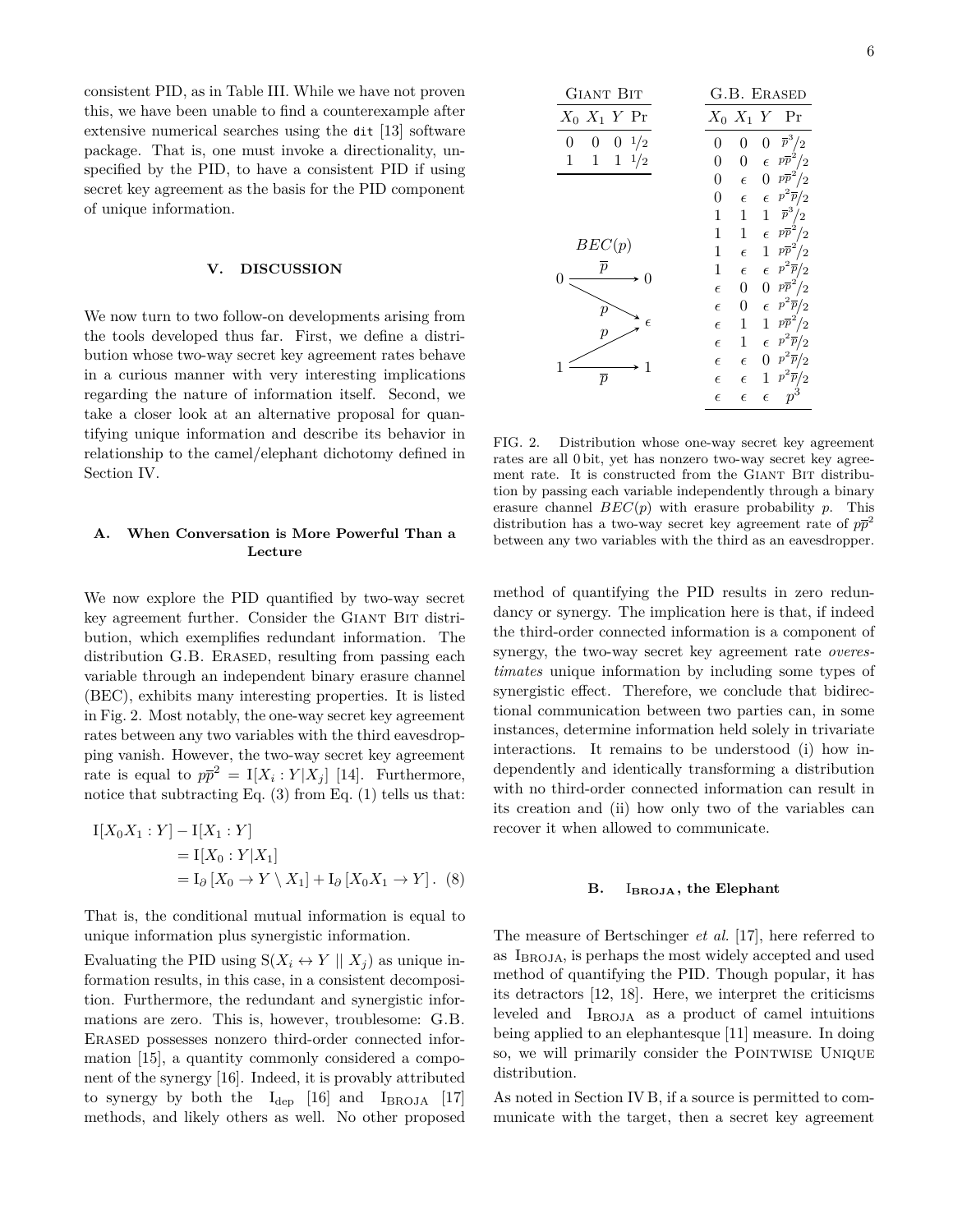consistent PID, as in Table III. While we have not proven this, we have been unable to find a counterexample after extensive numerical searches using the dit [13] software package. That is, one must invoke a directionality, unspecified by the PID, to have a consistent PID if using secret key agreement as the basis for the PID component of unique information.

#### **V. DISCUSSION**

We now turn to two follow-on developments arising from the tools developed thus far. First, we define a distribution whose two-way secret key agreement rates behave in a curious manner with very interesting implications regarding the nature of information itself. Second, we take a closer look at an alternative proposal for quantifying unique information and describe its behavior in relationship to the camel/elephant dichotomy defined in Section IV.

# **A. When Conversation is More Powerful Than a Lecture**

We now explore the PID quantified by two-way secret key agreement further. Consider the GIANT BIT distribution, which exemplifies redundant information. The distribution G.B. ERASED, resulting from passing each variable through an independent binary erasure channel (BEC), exhibits many interesting properties. It is listed in Fig. 2. Most notably, the one-way secret key agreement rates between any two variables with the third eavesdropping vanish. However, the two-way secret key agreement rate is equal to  $p\bar{p}^2 = I[X_i : Y | X_j]$  [14]. Furthermore, notice that subtracting Eq.  $(3)$  from Eq.  $(1)$  tells us that:

$$
I[X_0X_1 : Y] - I[X_1 : Y]
$$
  
= I[X\_0 : Y|X\_1]  
= I<sub>0</sub> [X<sub>0</sub> \to Y \setminus X\_1] + I<sub>0</sub> [X<sub>0</sub>X<sub>1</sub> \to Y]. (8)

That is, the conditional mutual information is equal to unique information plus synergistic information.

Evaluating the PID using  $S(X_i \leftrightarrow Y \mid X_i)$  as unique information results, in this case, in a consistent decomposition. Furthermore, the redundant and synergistic informations are zero. This is, however, troublesome: G.B. Erased possesses nonzero third-order connected information [15], a quantity commonly considered a component of the synergy [16]. Indeed, it is provably attributed to synergy by both the  $I_{dep}$  [16] and  $I_{BROJA}$  [17] methods, and likely others as well. No other proposed

| <b>GIANT BIT</b>                  | G.B. ERASED |                  |                  |                     |
|-----------------------------------|-------------|------------------|------------------|---------------------|
| $X_0$ $X_1$ $Y$ Pr                |             |                  |                  | $X_0$ $X_1$ $Y$ Pr  |
| $\boldsymbol{0}$<br>1/2<br>0<br>0 | 0           | 0                | $\rm 0$          | $\overline{p}^3/2$  |
| $1 \frac{1}{2}$<br>1              | 0           | 0                | $\epsilon$       | $p\overline{p}^2/2$ |
|                                   | 0           | $\epsilon$       | $\boldsymbol{0}$ | $p\overline{p}^2/2$ |
|                                   | 0           | $\epsilon$       | $\epsilon$       | $p^2\overline{p}/2$ |
|                                   | 1           | 1                | 1                | $\overline{p}^3/2$  |
|                                   | 1           | 1                | $\epsilon$       | $p\overline{p}^2/2$ |
| BEC(p)                            | 1           | $\epsilon$       | 1                | $p\overline{p}^2/2$ |
| $\overline{p}$                    | 1           | $\epsilon$       | $\epsilon$       | $p^2\overline{p}/2$ |
|                                   | $\epsilon$  | $\boldsymbol{0}$ | 0                | $p\overline{p}^2/2$ |
| р                                 | $\epsilon$  | 0                | $\epsilon$       | $p^2\overline{p}/2$ |
| $\epsilon$                        | $\epsilon$  | 1                | 1                | $p\overline{p}^2/2$ |
| р                                 | $\epsilon$  | 1                | $\epsilon$       | $p^2\overline{p}/2$ |
| 1                                 | $\epsilon$  | $\epsilon$       | 0                | $p^2\overline{p}/2$ |
|                                   | $\epsilon$  | $\epsilon$       | 1                | $p^2\overline{p}/2$ |
|                                   | $\epsilon$  | $\epsilon$       | $\epsilon$       | $p^3\,$             |

FIG. 2. Distribution whose one-way secret key agreement rates are all 0 bit, yet has nonzero two-way secret key agreement rate. It is constructed from the GIANT BIT distribution by passing each variable independently through a binary erasure channel *BEC*(*p*) with erasure probability *p*. This distribution has a two-way secret key agreement rate of  $p\bar{p}^2$ between any two variables with the third as an eavesdropper.

method of quantifying the PID results in zero redundancy or synergy. The implication here is that, if indeed the third-order connected information is a component of synergy, the two-way secret key agreement rate *overestimates* unique information by including some types of synergistic effect. Therefore, we conclude that bidirectional communication between two parties can, in some instances, determine information held solely in trivariate interactions. It remains to be understood (i) how independently and identically transforming a distribution with no third-order connected information can result in its creation and (ii) how only two of the variables can recover it when allowed to communicate.

### **B.** I**BROJA, the Elephant**

The measure of Bertschinger *et al.* [17], here referred to as  $I_{\text{BROJA}}$ , is perhaps the most widely accepted and used method of quantifying the PID. Though popular, it has its detractors [12, 18]. Here, we interpret the criticisms leveled and IBROJA as a product of camel intuitions being applied to an elephantesque [11] measure. In doing so, we will primarily consider the POINTWISE UNIQUE distribution.

As noted in Section IV B, if a source is permitted to communicate with the target, then a secret key agreement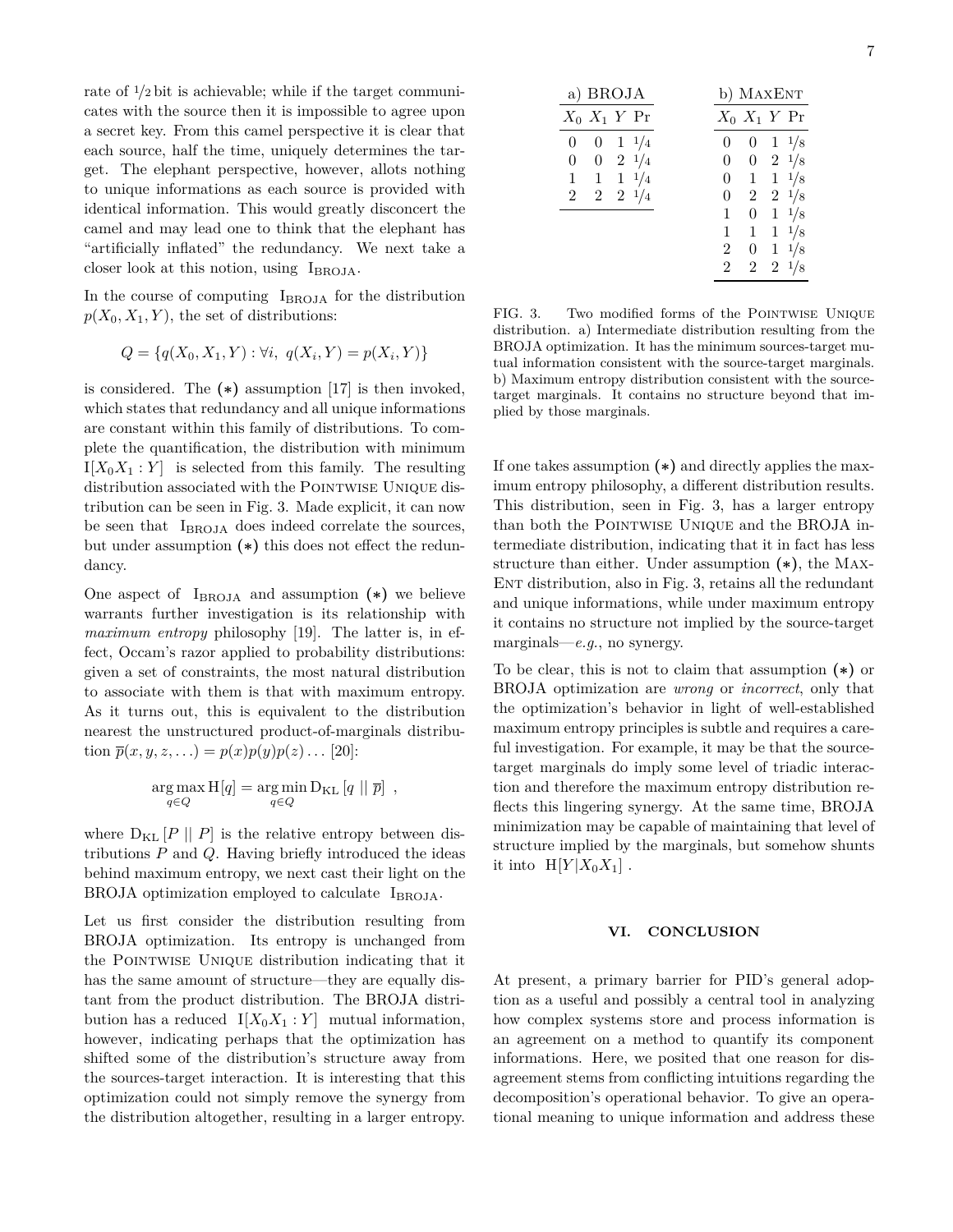rate of <sup>1</sup>*/*<sup>2</sup> bit is achievable; while if the target communicates with the source then it is impossible to agree upon a secret key. From this camel perspective it is clear that each source, half the time, uniquely determines the target. The elephant perspective, however, allots nothing to unique informations as each source is provided with identical information. This would greatly disconcert the camel and may lead one to think that the elephant has "artificially inflated" the redundancy. We next take a closer look at this notion, using  $I_{BRO,IA}$ .

In the course of computing I<sub>BROJA</sub> for the distribution  $p(X_0, X_1, Y)$ , the set of distributions:

$$
Q = \{q(X_0, X_1, Y) : \forall i, q(X_i, Y) = p(X_i, Y)\}
$$

is considered. The **(∗)** assumption [17] is then invoked, which states that redundancy and all unique informations are constant within this family of distributions. To complete the quantification, the distribution with minimum  $I[X_0X_1:Y]$  is selected from this family. The resulting distribution associated with the POINTWISE UNIQUE distribution can be seen in Fig. 3. Made explicit, it can now be seen that I<sub>BROJA</sub> does indeed correlate the sources, but under assumption **(∗)** this does not effect the redundancy.

One aspect of  $I_{BRO,IA}$  and assumption  $(*)$  we believe warrants further investigation is its relationship with *maximum entropy* philosophy [19]. The latter is, in effect, Occam's razor applied to probability distributions: given a set of constraints, the most natural distribution to associate with them is that with maximum entropy. As it turns out, this is equivalent to the distribution nearest the unstructured product-of-marginals distribution  $\bar{p}(x, y, z, ...) = p(x)p(y)p(z) \dots [20]$ :

$$
\underset{q \in Q}{\arg \max} H[q] = \underset{q \in Q}{\arg \min} D_{\text{KL}}[q \mid \mid \overline{p}] ,
$$

where  $D_{KL}$  [*P* || *P*] is the relative entropy between distributions *P* and *Q*. Having briefly introduced the ideas behind maximum entropy, we next cast their light on the BROJA optimization employed to calculate IBROJA.

Let us first consider the distribution resulting from BROJA optimization. Its entropy is unchanged from the Pointwise Unique distribution indicating that it has the same amount of structure—they are equally distant from the product distribution. The BROJA distribution has a reduced  $I[X_0X_1 : Y]$  mutual information, however, indicating perhaps that the optimization has shifted some of the distribution's structure away from the sources-target interaction. It is interesting that this optimization could not simply remove the synergy from the distribution altogether, resulting in a larger entropy.

| a) BROJA                                 | b) MAXENT |                  |              |                 |
|------------------------------------------|-----------|------------------|--------------|-----------------|
| $X_0$ $X_1$ Y Pr                         |           | $X_0$ $X_1$ Y Pr |              |                 |
| $1 \frac{1}{4}$<br>$\boldsymbol{0}$<br>0 | 0         | $\theta$         |              | $1 \frac{1}{8}$ |
| $2\frac{1}{4}$<br>0<br>0                 | 0         | $\boldsymbol{0}$ |              | $2\frac{1}{8}$  |
| $1 \frac{1}{4}$<br>$\vert 1 \vert$<br>1  | 0         | $\mathbf 1$      |              | $1 \frac{1}{8}$ |
| $2 \t2 \t1/4$<br>2                       | 0         | $\boldsymbol{2}$ |              | $2 \frac{1}{8}$ |
|                                          | 1         | $\boldsymbol{0}$ |              | $1 \frac{1}{8}$ |
|                                          | 1         | 1                |              | $1 \frac{1}{8}$ |
|                                          | 2         | 0                | $\mathbf{1}$ | 1/8             |
|                                          | 2         | $\boldsymbol{2}$ |              | $2 \frac{1}{8}$ |

FIG. 3. Two modified forms of the POINTWISE UNIQUE distribution. a) Intermediate distribution resulting from the BROJA optimization. It has the minimum sources-target mutual information consistent with the source-target marginals. b) Maximum entropy distribution consistent with the sourcetarget marginals. It contains no structure beyond that implied by those marginals.

If one takes assumption **(∗)** and directly applies the maximum entropy philosophy, a different distribution results. This distribution, seen in Fig. 3, has a larger entropy than both the POINTWISE UNIQUE and the BROJA intermediate distribution, indicating that it in fact has less structure than either. Under assumption **(∗)**, the Max-ENT distribution, also in Fig. 3, retains all the redundant and unique informations, while under maximum entropy it contains no structure not implied by the source-target marginals—*e.g.*, no synergy.

To be clear, this is not to claim that assumption **(∗)** or BROJA optimization are *wrong* or *incorrect*, only that the optimization's behavior in light of well-established maximum entropy principles is subtle and requires a careful investigation. For example, it may be that the sourcetarget marginals do imply some level of triadic interaction and therefore the maximum entropy distribution reflects this lingering synergy. At the same time, BROJA minimization may be capable of maintaining that level of structure implied by the marginals, but somehow shunts it into  $H[Y|X_0X_1]$ .

## **VI. CONCLUSION**

At present, a primary barrier for PID's general adoption as a useful and possibly a central tool in analyzing how complex systems store and process information is an agreement on a method to quantify its component informations. Here, we posited that one reason for disagreement stems from conflicting intuitions regarding the decomposition's operational behavior. To give an operational meaning to unique information and address these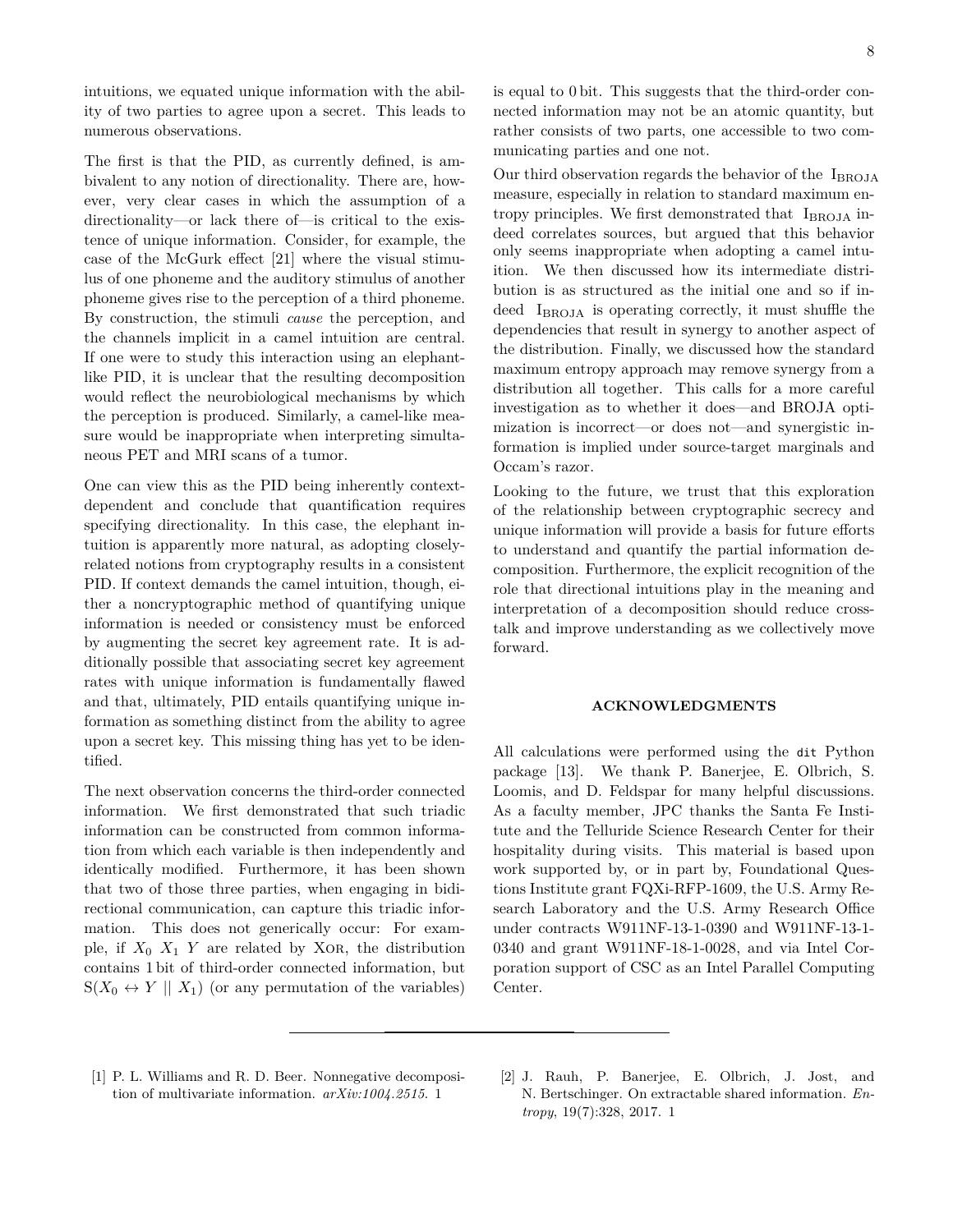intuitions, we equated unique information with the ability of two parties to agree upon a secret. This leads to numerous observations.

The first is that the PID, as currently defined, is ambivalent to any notion of directionality. There are, however, very clear cases in which the assumption of a directionality—or lack there of—is critical to the existence of unique information. Consider, for example, the case of the McGurk effect [21] where the visual stimulus of one phoneme and the auditory stimulus of another phoneme gives rise to the perception of a third phoneme. By construction, the stimuli *cause* the perception, and the channels implicit in a camel intuition are central. If one were to study this interaction using an elephantlike PID, it is unclear that the resulting decomposition would reflect the neurobiological mechanisms by which the perception is produced. Similarly, a camel-like measure would be inappropriate when interpreting simultaneous PET and MRI scans of a tumor.

One can view this as the PID being inherently contextdependent and conclude that quantification requires specifying directionality. In this case, the elephant intuition is apparently more natural, as adopting closelyrelated notions from cryptography results in a consistent PID. If context demands the camel intuition, though, either a noncryptographic method of quantifying unique information is needed or consistency must be enforced by augmenting the secret key agreement rate. It is additionally possible that associating secret key agreement rates with unique information is fundamentally flawed and that, ultimately, PID entails quantifying unique information as something distinct from the ability to agree upon a secret key. This missing thing has yet to be identified.

The next observation concerns the third-order connected information. We first demonstrated that such triadic information can be constructed from common information from which each variable is then independently and identically modified. Furthermore, it has been shown that two of those three parties, when engaging in bidirectional communication, can capture this triadic information. This does not generically occur: For example, if  $X_0$   $X_1$   $Y$  are related by XOR, the distribution contains 1 bit of third-order connected information, but  $S(X_0 \leftrightarrow Y \parallel X_1)$  (or any permutation of the variables)

is equal to 0 bit. This suggests that the third-order connected information may not be an atomic quantity, but rather consists of two parts, one accessible to two communicating parties and one not.

Our third observation regards the behavior of the  $I_{\text{BROJA}}$ measure, especially in relation to standard maximum entropy principles. We first demonstrated that IBROJA indeed correlates sources, but argued that this behavior only seems inappropriate when adopting a camel intuition. We then discussed how its intermediate distribution is as structured as the initial one and so if indeed I<sub>BROJA</sub> is operating correctly, it must shuffle the dependencies that result in synergy to another aspect of the distribution. Finally, we discussed how the standard maximum entropy approach may remove synergy from a distribution all together. This calls for a more careful investigation as to whether it does—and BROJA optimization is incorrect—or does not—and synergistic information is implied under source-target marginals and Occam's razor.

Looking to the future, we trust that this exploration of the relationship between cryptographic secrecy and unique information will provide a basis for future efforts to understand and quantify the partial information decomposition. Furthermore, the explicit recognition of the role that directional intuitions play in the meaning and interpretation of a decomposition should reduce crosstalk and improve understanding as we collectively move forward.

#### **ACKNOWLEDGMENTS**

All calculations were performed using the dit Python package [13]. We thank P. Banerjee, E. Olbrich, S. Loomis, and D. Feldspar for many helpful discussions. As a faculty member, JPC thanks the Santa Fe Institute and the Telluride Science Research Center for their hospitality during visits. This material is based upon work supported by, or in part by, Foundational Questions Institute grant FQXi-RFP-1609, the U.S. Army Research Laboratory and the U.S. Army Research Office under contracts W911NF-13-1-0390 and W911NF-13-1- 0340 and grant W911NF-18-1-0028, and via Intel Corporation support of CSC as an Intel Parallel Computing Center.

[1] P. L. Williams and R. D. Beer. Nonnegative decomposition of multivariate information. *arXiv:1004.2515*. 1

<sup>[2]</sup> J. Rauh, P. Banerjee, E. Olbrich, J. Jost, and N. Bertschinger. On extractable shared information. *Entropy*, 19(7):328, 2017. 1